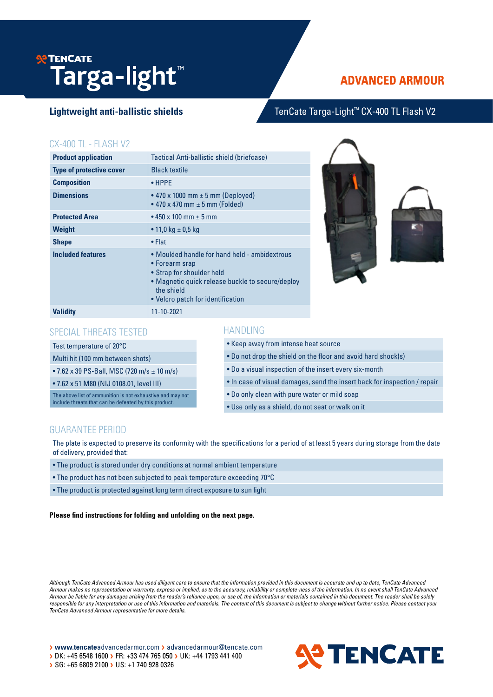# **P TENCATE Targa-light**™

# **ADVANCED ARMOUR**

# Lightweight anti-ballistic shields **TenCate Targa-Light™ CX-400 TL Flash V2**

# CX-400 TL - FLASH V2

| <b>Product application</b>      | Tactical Anti-ballistic shield (briefcase)                                                                                                                                                          |
|---------------------------------|-----------------------------------------------------------------------------------------------------------------------------------------------------------------------------------------------------|
| <b>Type of protective cover</b> | <b>Black textile</b>                                                                                                                                                                                |
| <b>Composition</b>              | $\bullet$ HPPF                                                                                                                                                                                      |
| <b>Dimensions</b>               | • 470 x 1000 mm $\pm$ 5 mm (Deployed)<br>• 470 x 470 mm $\pm$ 5 mm (Folded)                                                                                                                         |
| <b>Protected Area</b>           | • 450 x 100 mm $\pm$ 5 mm                                                                                                                                                                           |
| <b>Weight</b>                   | • 11,0 kg $\pm$ 0,5 kg                                                                                                                                                                              |
| <b>Shape</b>                    | $\bullet$ Flat                                                                                                                                                                                      |
| <b>Included features</b>        | • Moulded handle for hand held - ambidextrous<br>• Forearm srap<br>• Strap for shoulder held<br>• Magnetic quick release buckle to secure/deploy<br>the shield<br>• Velcro patch for identification |
| <b>Validity</b>                 | 11-10-2021                                                                                                                                                                                          |





## SPECIAL THREATS TESTED

### Test temperature of 20°C

# Multi hit (100 mm between shots)

• 7.62 x 39 PS-Ball, MSC (720 m/s ± 10 m/s)

• 7.62 x 51 M80 (NIJ 0108.01, level III)

The above list of ammunition is not exhaustive and may not include threats that can be defeated by this product.

# HANDLING

- Keep away from intense heat source
- Do not drop the shield on the floor and avoid hard shock(s)
- Do a visual inspection of the insert every six-month
- In case of visual damages, send the insert back for inspection / repair
- Do only clean with pure water or mild soap
- Use only as a shield, do not seat or walk on it

# GUARANTEE PERIOD

The plate is expected to preserve its conformity with the specifications for a period of at least 5 years during storage from the date of delivery, provided that:

- The product is stored under dry conditions at normal ambient temperature
- The product has not been subjected to peak temperature exceeding 70°C
- The product is protected against long term direct exposure to sun light

#### **Please find instructions for folding and unfolding on the next page.**

*Although TenCate Advanced Armour has used diligent care to ensure that the information provided in this document is accurate and up to date, TenCate Advanced Armour makes no representation or warranty, express or implied, as to the accuracy, reliability or complete-ness of the information. In no event shall TenCate Advanced Armour be liable for any damages arising from the reader's reliance upon, or use of, the information or materials contained in this document. The reader shall be solely*  responsible for any interpretation or use of this information and materials. The content of this document is subject to change without further notice. Please contact your *TenCate Advanced Armour representative for more details.*

> www.tencateadvancedarmor.com > advancedarmour@tencate.com > DK: +45 6548 1600 > FR: +33 474 765 050 > UK: +44 1793 441 400 SG: +65 6809 2100 > US: +1 740 928 0326